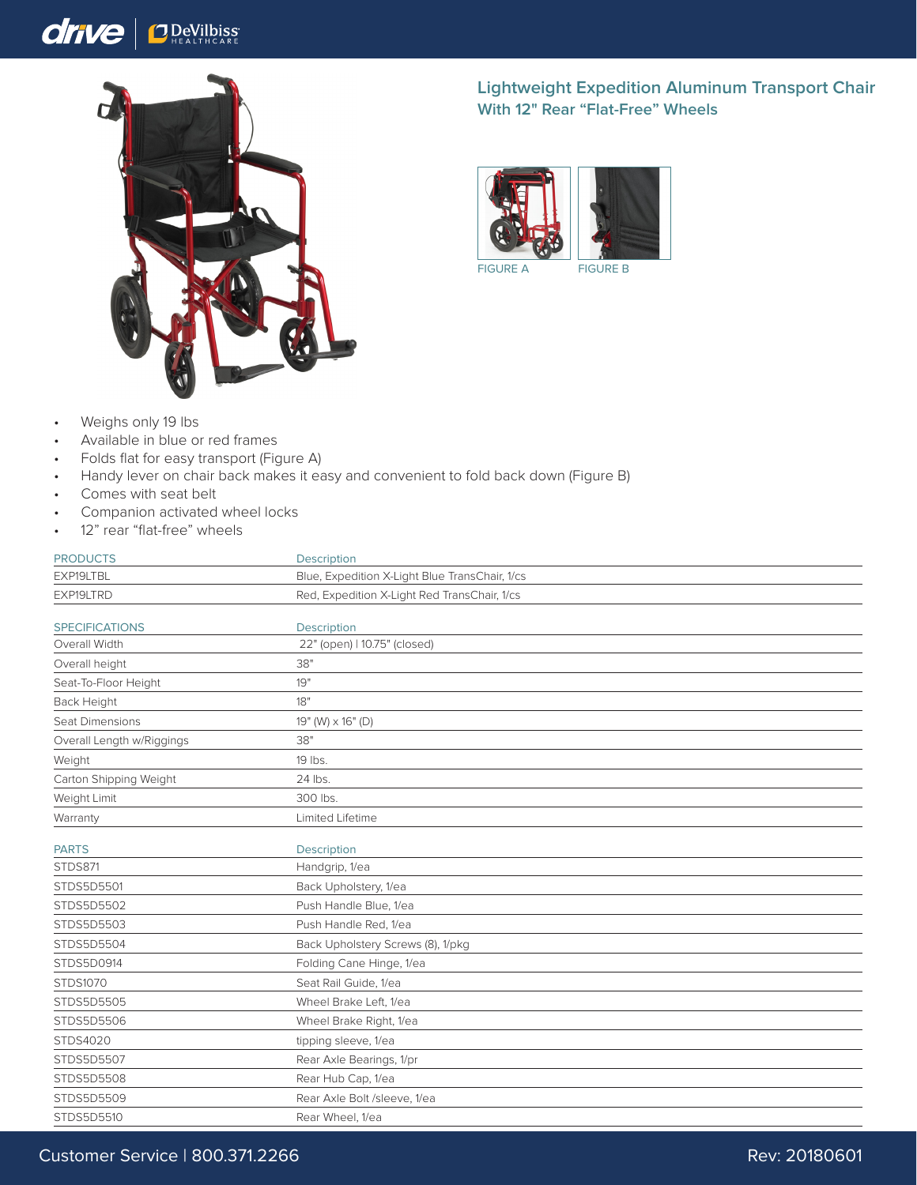## drive  $\bigcap_{H \in A} D$ eVilbiss



## **Lightweight Expedition Aluminum Transport Chair With 12" Rear "Flat-Free" Wheels**



FIGURE A FIGURE B

- Weighs only 19 lbs
- Available in blue or red frames
- Folds flat for easy transport (Figure A)
- Handy lever on chair back makes it easy and convenient to fold back down (Figure B)
- Comes with seat belt
- Companion activated wheel locks
- 12" rear "flat-free" wheels

| <b>PRODUCTS</b>           | <b>Description</b>                             |
|---------------------------|------------------------------------------------|
| EXP19LTBL                 | Blue, Expedition X-Light Blue TransChair, 1/cs |
| EXP19LTRD                 | Red, Expedition X-Light Red TransChair, 1/cs   |
| <b>SPECIFICATIONS</b>     | Description                                    |
| Overall Width             | 22" (open)   10.75" (closed)                   |
| Overall height            | 38"                                            |
| Seat-To-Floor Height      | 19"                                            |
| Back Height               | 18"                                            |
| Seat Dimensions           | 19" (W) x 16" (D)                              |
| Overall Length w/Riggings | 38"                                            |
| Weight                    | 19 lbs.                                        |
| Carton Shipping Weight    | 24 lbs.                                        |
| Weight Limit              | 300 lbs.                                       |
| Warranty                  | Limited Lifetime                               |
| <b>PARTS</b>              | <b>Description</b>                             |
| <b>STDS871</b>            | Handgrip, 1/ea                                 |
| STDS5D5501                | Back Upholstery, 1/ea                          |
| STDS5D5502                | Push Handle Blue, 1/ea                         |
| STDS5D5503                | Push Handle Red, 1/ea                          |
| STDS5D5504                | Back Upholstery Screws (8), 1/pkg              |
| STDS5D0914                | Folding Cane Hinge, 1/ea                       |
| STDS1070                  | Seat Rail Guide, 1/ea                          |
| STDS5D5505                | Wheel Brake Left, 1/ea                         |
| STDS5D5506                | Wheel Brake Right, 1/ea                        |
| STDS4020                  | tipping sleeve, 1/ea                           |
| STDS5D5507                | Rear Axle Bearings, 1/pr                       |
| STDS5D5508                | Rear Hub Cap, 1/ea                             |
| STDS5D5509                | Rear Axle Bolt /sleeve, 1/ea                   |
| STDS5D5510                | Rear Wheel, 1/ea                               |